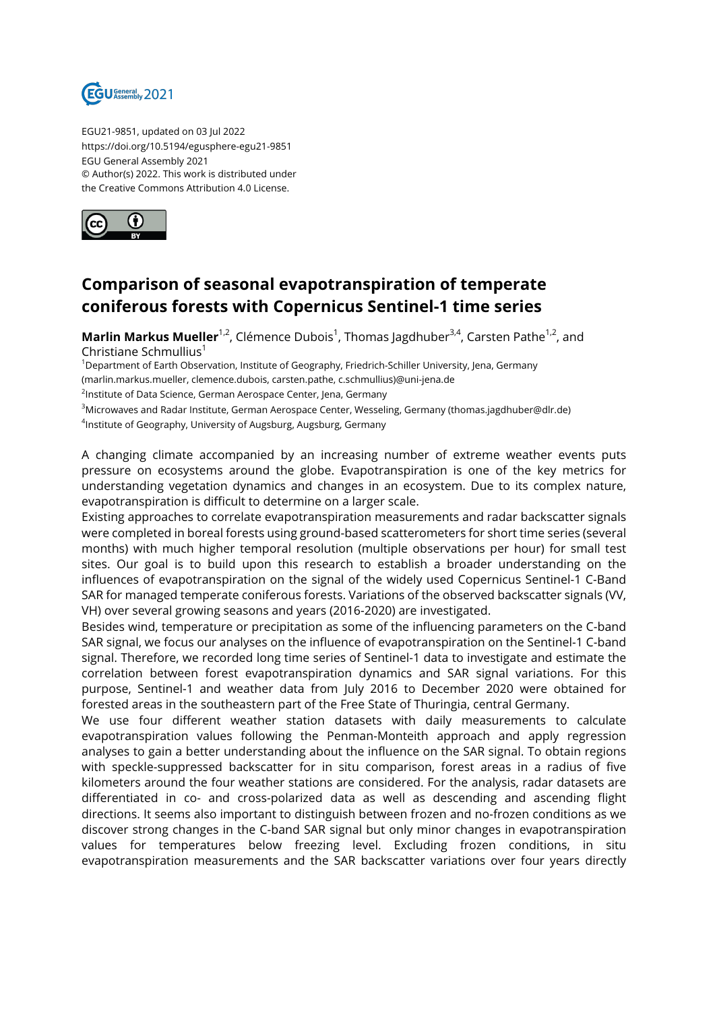

EGU21-9851, updated on 03 Jul 2022 https://doi.org/10.5194/egusphere-egu21-9851 EGU General Assembly 2021 © Author(s) 2022. This work is distributed under the Creative Commons Attribution 4.0 License.



## **Comparison of seasonal evapotranspiration of temperate coniferous forests with Copernicus Sentinel-1 time series**

**Marlin Markus Mueller**<sup>1,2</sup>, Clémence Dubois<sup>1</sup>, Thomas Jagdhuber<sup>3,4</sup>, Carsten Pathe<sup>1,2</sup>, and Christiane Schmullius<sup>1</sup>

<sup>1</sup>Department of Earth Observation, Institute of Geography, Friedrich-Schiller University, Jena, Germany (marlin.markus.mueller, clemence.dubois, carsten.pathe, c.schmullius)@uni-jena.de

<sup>2</sup>Institute of Data Science, German Aerospace Center, Jena, Germany

<sup>3</sup>Microwaves and Radar Institute, German Aerospace Center, Wesseling, Germany (thomas.jagdhuber@dlr.de) 4 Institute of Geography, University of Augsburg, Augsburg, Germany

A changing climate accompanied by an increasing number of extreme weather events puts pressure on ecosystems around the globe. Evapotranspiration is one of the key metrics for understanding vegetation dynamics and changes in an ecosystem. Due to its complex nature, evapotranspiration is difficult to determine on a larger scale.

Existing approaches to correlate evapotranspiration measurements and radar backscatter signals were completed in boreal forests using ground-based scatterometers for short time series (several months) with much higher temporal resolution (multiple observations per hour) for small test sites. Our goal is to build upon this research to establish a broader understanding on the influences of evapotranspiration on the signal of the widely used Copernicus Sentinel-1 C-Band SAR for managed temperate coniferous forests. Variations of the observed backscatter signals (VV, VH) over several growing seasons and years (2016-2020) are investigated.

Besides wind, temperature or precipitation as some of the influencing parameters on the C-band SAR signal, we focus our analyses on the influence of evapotranspiration on the Sentinel-1 C-band signal. Therefore, we recorded long time series of Sentinel-1 data to investigate and estimate the correlation between forest evapotranspiration dynamics and SAR signal variations. For this purpose, Sentinel-1 and weather data from July 2016 to December 2020 were obtained for forested areas in the southeastern part of the Free State of Thuringia, central Germany.

We use four different weather station datasets with daily measurements to calculate evapotranspiration values following the Penman-Monteith approach and apply regression analyses to gain a better understanding about the influence on the SAR signal. To obtain regions with speckle-suppressed backscatter for in situ comparison, forest areas in a radius of five kilometers around the four weather stations are considered. For the analysis, radar datasets are differentiated in co- and cross-polarized data as well as descending and ascending flight directions. It seems also important to distinguish between frozen and no-frozen conditions as we discover strong changes in the C-band SAR signal but only minor changes in evapotranspiration values for temperatures below freezing level. Excluding frozen conditions, in situ evapotranspiration measurements and the SAR backscatter variations over four years directly